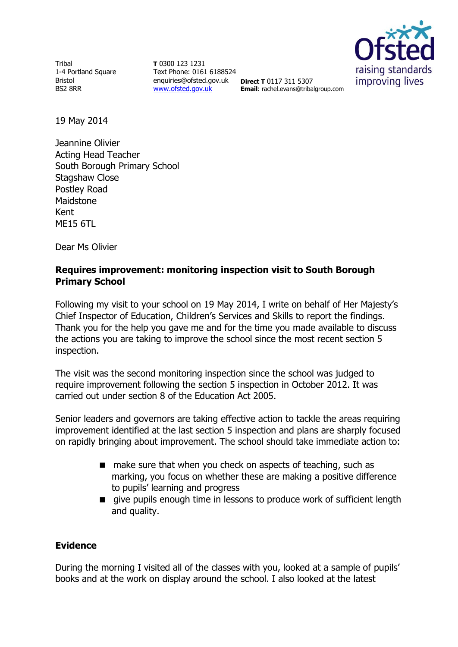**Tribal** 1-4 Portland Square Bristol BS2 8RR

**T** 0300 123 1231 Text Phone: 0161 6188524 enquiries@ofsted.gov.uk **Direct T** 0117 311 5307 [www.ofsted.gov.uk](http://www.ofsted.gov.uk/)



**Email**: rachel.evans@tribalgroup.com

19 May 2014

Jeannine Olivier Acting Head Teacher South Borough Primary School Stagshaw Close Postley Road Maidstone Kent ME15 6TL

Dear Ms Olivier

## **Requires improvement: monitoring inspection visit to South Borough Primary School**

Following my visit to your school on 19 May 2014, I write on behalf of Her Majesty's Chief Inspector of Education, Children's Services and Skills to report the findings. Thank you for the help you gave me and for the time you made available to discuss the actions you are taking to improve the school since the most recent section 5 inspection.

The visit was the second monitoring inspection since the school was judged to require improvement following the section 5 inspection in October 2012. It was carried out under section 8 of the Education Act 2005.

Senior leaders and governors are taking effective action to tackle the areas requiring improvement identified at the last section 5 inspection and plans are sharply focused on rapidly bringing about improvement. The school should take immediate action to:

- make sure that when you check on aspects of teaching, such as marking, you focus on whether these are making a positive difference to pupils' learning and progress
- give pupils enough time in lessons to produce work of sufficient length and quality.

## **Evidence**

During the morning I visited all of the classes with you, looked at a sample of pupils' books and at the work on display around the school. I also looked at the latest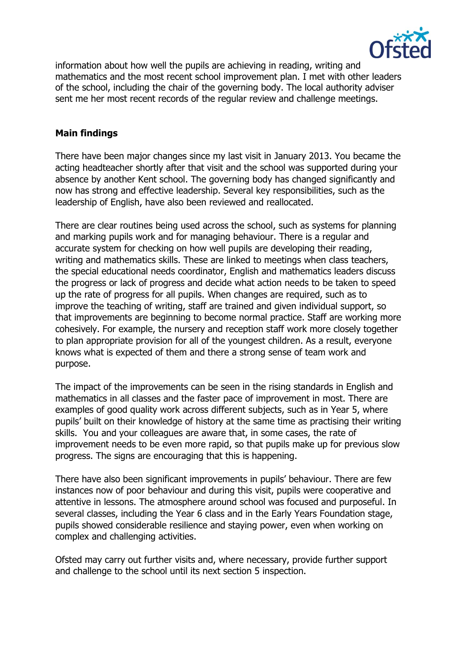

information about how well the pupils are achieving in reading, writing and mathematics and the most recent school improvement plan. I met with other leaders of the school, including the chair of the governing body. The local authority adviser sent me her most recent records of the regular review and challenge meetings.

## **Main findings**

There have been major changes since my last visit in January 2013. You became the acting headteacher shortly after that visit and the school was supported during your absence by another Kent school. The governing body has changed significantly and now has strong and effective leadership. Several key responsibilities, such as the leadership of English, have also been reviewed and reallocated.

There are clear routines being used across the school, such as systems for planning and marking pupils work and for managing behaviour. There is a regular and accurate system for checking on how well pupils are developing their reading, writing and mathematics skills. These are linked to meetings when class teachers, the special educational needs coordinator, English and mathematics leaders discuss the progress or lack of progress and decide what action needs to be taken to speed up the rate of progress for all pupils. When changes are required, such as to improve the teaching of writing, staff are trained and given individual support, so that improvements are beginning to become normal practice. Staff are working more cohesively. For example, the nursery and reception staff work more closely together to plan appropriate provision for all of the youngest children. As a result, everyone knows what is expected of them and there a strong sense of team work and purpose.

The impact of the improvements can be seen in the rising standards in English and mathematics in all classes and the faster pace of improvement in most. There are examples of good quality work across different subjects, such as in Year 5, where pupils' built on their knowledge of history at the same time as practising their writing skills. You and your colleagues are aware that, in some cases, the rate of improvement needs to be even more rapid, so that pupils make up for previous slow progress. The signs are encouraging that this is happening.

There have also been significant improvements in pupils' behaviour. There are few instances now of poor behaviour and during this visit, pupils were cooperative and attentive in lessons. The atmosphere around school was focused and purposeful. In several classes, including the Year 6 class and in the Early Years Foundation stage, pupils showed considerable resilience and staying power, even when working on complex and challenging activities.

Ofsted may carry out further visits and, where necessary, provide further support and challenge to the school until its next section 5 inspection.